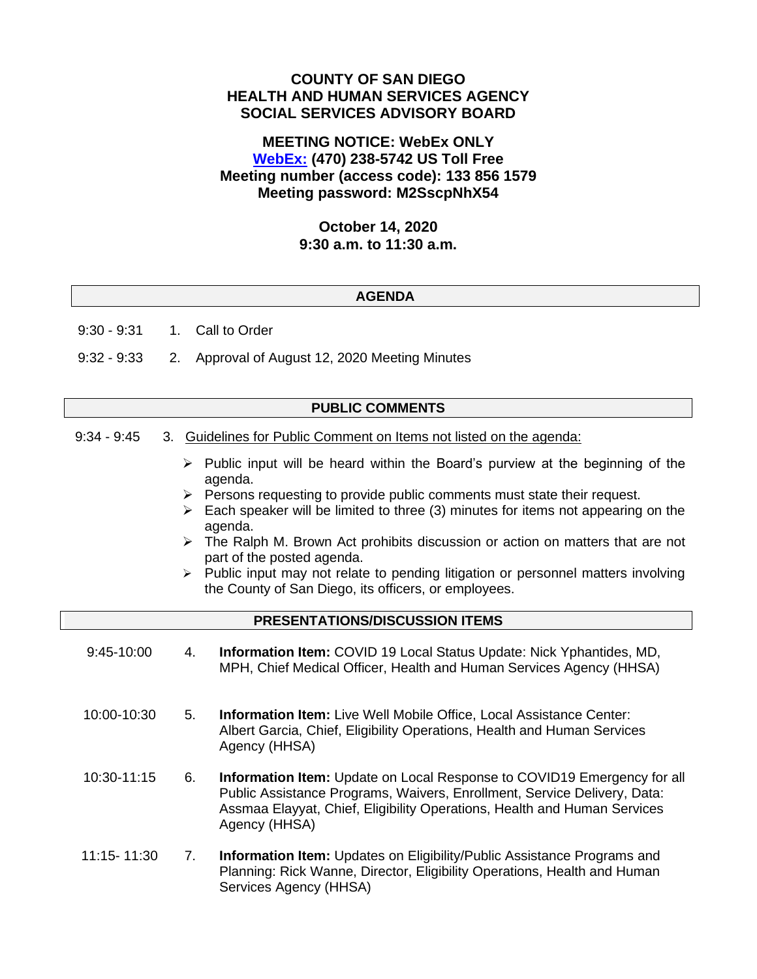# **COUNTY OF SAN DIEGO HEALTH AND HUMAN SERVICES AGENCY SOCIAL SERVICES ADVISORY BOARD**

# **MEETING NOTICE: WebEx ONLY [WebEx:](https://sdcountyca.webex.com/sdcountyca/j.php?MTID=m732d2a324b828541c15cb065b45a9a95) (470) 238-5742 US Toll Free Meeting number (access code): 133 856 1579 Meeting password: M2SscpNhX54**

### **October 14, 2020 9:30 a.m. to 11:30 a.m.**

### **AGENDA**

9:30 - 9:31 1. Call to Order

9:32 - 9:33 2. Approval of August 12, 2020 Meeting Minutes

### **PUBLIC COMMENTS**

- 9:34 9:45 3. Guidelines for Public Comment on Items not listed on the agenda:
	- $\triangleright$  Public input will be heard within the Board's purview at the beginning of the agenda.
	- $\triangleright$  Persons requesting to provide public comments must state their request.
	- $\triangleright$  Each speaker will be limited to three (3) minutes for items not appearing on the agenda.
	- $\triangleright$  The Ralph M. Brown Act prohibits discussion or action on matters that are not part of the posted agenda.
	- ➢ Public input may not relate to pending litigation or personnel matters involving the County of San Diego, its officers, or employees.

## **PRESENTATIONS/DISCUSSION ITEMS**

- 9:45-10:00 4. **Information Item:** COVID 19 Local Status Update: Nick Yphantides, MD, MPH, Chief Medical Officer, Health and Human Services Agency (HHSA)
- 10:00-10:30 5. **Information Item:** Live Well Mobile Office, Local Assistance Center: Albert Garcia, Chief, Eligibility Operations, Health and Human Services Agency (HHSA)
- 10:30-11:15 6. **Information Item:** Update on Local Response to COVID19 Emergency for all Public Assistance Programs, Waivers, Enrollment, Service Delivery, Data: Assmaa Elayyat, Chief, Eligibility Operations, Health and Human Services Agency (HHSA)
- 11:15- 11:30 7. **Information Item:** Updates on Eligibility/Public Assistance Programs and Planning: Rick Wanne, Director, Eligibility Operations, Health and Human Services Agency (HHSA)